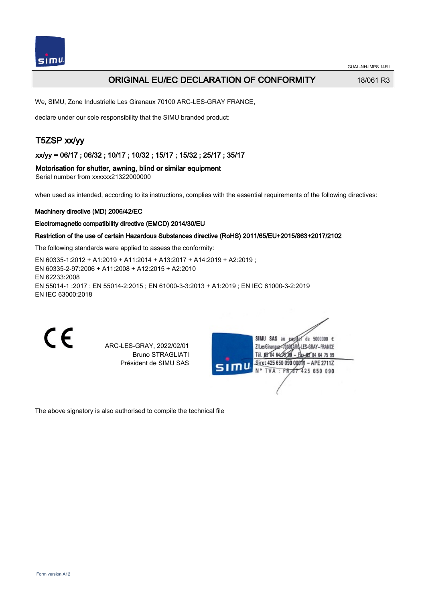

# **ORIGINAL EU/EC DECLARATION OF CONFORMITY** 18/061 R3

We, SIMU, Zone Industrielle Les Giranaux 70100 ARC-LES-GRAY FRANCE,

declare under our sole responsibility that the SIMU branded product:

# T5ZSP xx/yy

xx/yy = 06/17 ; 06/32 ; 10/17 ; 10/32 ; 15/17 ; 15/32 ; 25/17 ; 35/17

Motorisation for shutter, awning, blind or similar equipment

Serial number from xxxxxx21322000000

when used as intended, according to its instructions, complies with the essential requirements of the following directives:

#### Machinery directive (MD) 2006/42/EC

#### Electromagnetic compatibility directive (EMCD) 2014/30/EU

## Restriction of the use of certain Hazardous Substances directive (RoHS) 2011/65/EU+2015/863+2017/2102

The following standards were applied to assess the conformity:

EN 60335‑1:2012 + A1:2019 + A11:2014 + A13:2017 + A14:2019 + A2:2019 ; EN 60335‑2‑97:2006 + A11:2008 + A12:2015 + A2:2010 EN 62233:2008 EN 55014‑1 :2017 ; EN 55014‑2:2015 ; EN 61000‑3‑3:2013 + A1:2019 ; EN IEC 61000‑3‑2:2019 EN IEC 63000:2018

 $\epsilon$ 

ARC-LES-GRAY, 2022/02/01 Bruno STRAGLIATI Président de SIMU SAS

| SIMU | SIMU SAS au<br>5000000 $\epsilon$<br>de.<br>CR |
|------|------------------------------------------------|
|      | ZI Les GiranauxI-LES-GRAY-FRANCE               |
|      | Tél. 08 84 64 28 8<br>* 地 84 64 75 99          |
|      | Siret 425 650 090 00811<br>$-$ APE 2711Z       |
|      | N° TVA : FR 67 425 650 090                     |
|      |                                                |
|      |                                                |
|      |                                                |

The above signatory is also authorised to compile the technical file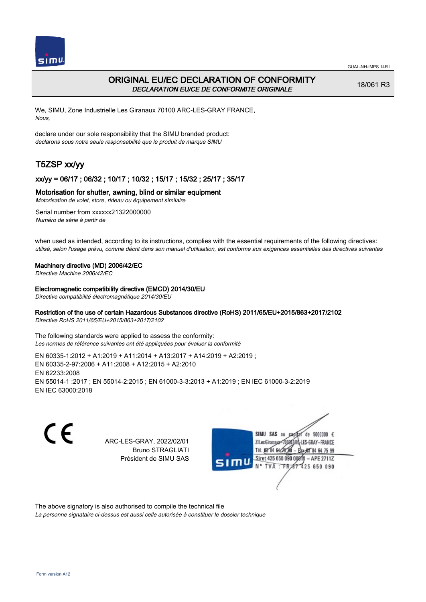

# ORIGINAL EU/EC DECLARATION OF CONFORMITY DECLARATION EU/CE DE CONFORMITE ORIGINALE

18/061 R3

We, SIMU, Zone Industrielle Les Giranaux 70100 ARC-LES-GRAY FRANCE, Nous,

declare under our sole responsibility that the SIMU branded product: declarons sous notre seule responsabilité que le produit de marque SIMU

# T5ZSP xx/yy

# xx/yy = 06/17 ; 06/32 ; 10/17 ; 10/32 ; 15/17 ; 15/32 ; 25/17 ; 35/17

## Motorisation for shutter, awning, blind or similar equipment

Motorisation de volet, store, rideau ou équipement similaire

Serial number from xxxxxx21322000000 Numéro de série à partir de

when used as intended, according to its instructions, complies with the essential requirements of the following directives: utilisé, selon l'usage prévu, comme décrit dans son manuel d'utilisation, est conforme aux exigences essentielles des directives suivantes

### Machinery directive (MD) 2006/42/EC

Directive Machine 2006/42/EC

Electromagnetic compatibility directive (EMCD) 2014/30/EU

Directive compatibilité électromagnétique 2014/30/EU

## Restriction of the use of certain Hazardous Substances directive (RoHS) 2011/65/EU+2015/863+2017/2102

Directive RoHS 2011/65/EU+2015/863+2017/2102

The following standards were applied to assess the conformity: Les normes de référence suivantes ont été appliquées pour évaluer la conformité

EN 60335‑1:2012 + A1:2019 + A11:2014 + A13:2017 + A14:2019 + A2:2019 ; EN 60335‑2‑97:2006 + A11:2008 + A12:2015 + A2:2010 EN 62233:2008 EN 55014‑1 :2017 ; EN 55014‑2:2015 ; EN 61000‑3‑3:2013 + A1:2019 ; EN IEC 61000‑3‑2:2019 EN IEC 63000:2018

C E

ARC-LES-GRAY, 2022/02/01 Bruno STRAGLIATI Président de SIMU SAS



The above signatory is also authorised to compile the technical file

La personne signataire ci-dessus est aussi celle autorisée à constituer le dossier technique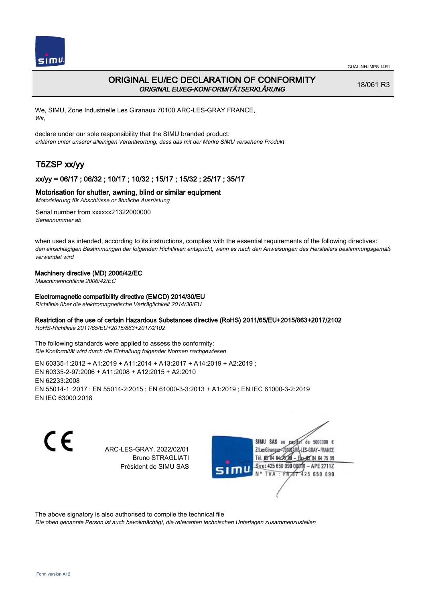

# ORIGINAL EU/EC DECLARATION OF CONFORMITY ORIGINAL EU/EG-KONFORMITÄTSERKLÄRUNG

18/061 R3

We, SIMU, Zone Industrielle Les Giranaux 70100 ARC-LES-GRAY FRANCE, Wir,

declare under our sole responsibility that the SIMU branded product: erklären unter unserer alleinigen Verantwortung, dass das mit der Marke SIMU versehene Produkt

# T5ZSP xx/yy

# xx/yy = 06/17 ; 06/32 ; 10/17 ; 10/32 ; 15/17 ; 15/32 ; 25/17 ; 35/17

## Motorisation for shutter, awning, blind or similar equipment

Motorisierung für Abschlüsse or ähnliche Ausrüstung

Serial number from xxxxxx21322000000 Seriennummer ab

when used as intended, according to its instructions, complies with the essential requirements of the following directives: den einschlägigen Bestimmungen der folgenden Richtlinien entspricht, wenn es nach den Anweisungen des Herstellers bestimmungsgemäß verwendet wird

## Machinery directive (MD) 2006/42/EC

Maschinenrichtlinie 2006/42/EC

### Electromagnetic compatibility directive (EMCD) 2014/30/EU

Richtlinie über die elektromagnetische Verträglichkeit 2014/30/EU

### Restriction of the use of certain Hazardous Substances directive (RoHS) 2011/65/EU+2015/863+2017/2102

RoHS-Richtlinie 2011/65/EU+2015/863+2017/2102

The following standards were applied to assess the conformity: Die Konformität wird durch die Einhaltung folgender Normen nachgewiesen

EN 60335‑1:2012 + A1:2019 + A11:2014 + A13:2017 + A14:2019 + A2:2019 ; EN 60335‑2‑97:2006 + A11:2008 + A12:2015 + A2:2010 EN 62233:2008 EN 55014‑1 :2017 ; EN 55014‑2:2015 ; EN 61000‑3‑3:2013 + A1:2019 ; EN IEC 61000‑3‑2:2019 EN IEC 63000:2018

CE

ARC-LES-GRAY, 2022/02/01 Bruno STRAGLIATI Président de SIMU SAS



The above signatory is also authorised to compile the technical file

Die oben genannte Person ist auch bevollmächtigt, die relevanten technischen Unterlagen zusammenzustellen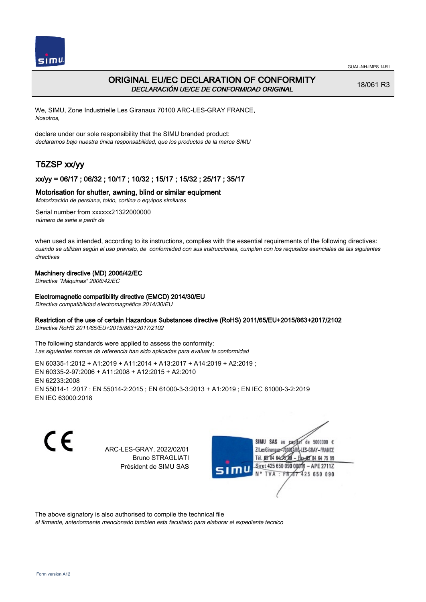

# ORIGINAL EU/EC DECLARATION OF CONFORMITY DECLARACIÓN UE/CE DE CONFORMIDAD ORIGINAL

18/061 R3

We, SIMU, Zone Industrielle Les Giranaux 70100 ARC-LES-GRAY FRANCE, Nosotros,

declare under our sole responsibility that the SIMU branded product: declaramos bajo nuestra única responsabilidad, que los productos de la marca SIMU

# T5ZSP xx/yy

## xx/yy = 06/17 ; 06/32 ; 10/17 ; 10/32 ; 15/17 ; 15/32 ; 25/17 ; 35/17

## Motorisation for shutter, awning, blind or similar equipment

Motorización de persiana, toldo, cortina o equipos similares

Serial number from xxxxxx21322000000 número de serie a partir de

when used as intended, according to its instructions, complies with the essential requirements of the following directives: cuando se utilizan según el uso previsto, de conformidad con sus instrucciones, cumplen con los requisitos esenciales de las siguientes directivas

## Machinery directive (MD) 2006/42/EC

Directiva "Máquinas" 2006/42/EC

### Electromagnetic compatibility directive (EMCD) 2014/30/EU

Directiva compatibilidad electromagnética 2014/30/EU

### Restriction of the use of certain Hazardous Substances directive (RoHS) 2011/65/EU+2015/863+2017/2102

Directiva RoHS 2011/65/EU+2015/863+2017/2102

The following standards were applied to assess the conformity: Las siguientes normas de referencia han sido aplicadas para evaluar la conformidad

EN 60335‑1:2012 + A1:2019 + A11:2014 + A13:2017 + A14:2019 + A2:2019 ; EN 60335‑2‑97:2006 + A11:2008 + A12:2015 + A2:2010 EN 62233:2008 EN 55014‑1 :2017 ; EN 55014‑2:2015 ; EN 61000‑3‑3:2013 + A1:2019 ; EN IEC 61000‑3‑2:2019 EN IEC 63000:2018

CE

ARC-LES-GRAY, 2022/02/01 Bruno STRAGLIATI Président de SIMU SAS



The above signatory is also authorised to compile the technical file

el firmante, anteriormente mencionado tambien esta facultado para elaborar el expediente tecnico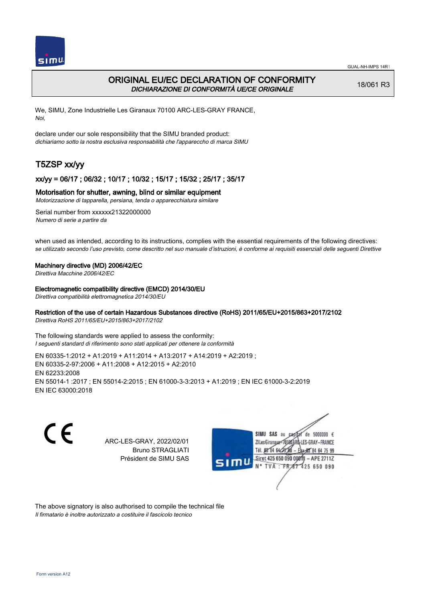

# ORIGINAL EU/EC DECLARATION OF CONFORMITY DICHIARAZIONE DI CONFORMITÀ UE/CE ORIGINALE

18/061 R3

We, SIMU, Zone Industrielle Les Giranaux 70100 ARC-LES-GRAY FRANCE, Noi,

declare under our sole responsibility that the SIMU branded product: dichiariamo sotto la nostra esclusiva responsabilità che l'appareccho di marca SIMU

# T5ZSP xx/yy

## xx/yy = 06/17 ; 06/32 ; 10/17 ; 10/32 ; 15/17 ; 15/32 ; 25/17 ; 35/17

### Motorisation for shutter, awning, blind or similar equipment

Motorizzazione di tapparella, persiana, tenda o apparecchiatura similare

Serial number from xxxxxx21322000000 Numero di serie a partire da

when used as intended, according to its instructions, complies with the essential requirements of the following directives: se utilizzato secondo l'uso previsto, come descritto nel suo manuale d'istruzioni, è conforme ai requisiti essenziali delle seguenti Direttive

#### Machinery directive (MD) 2006/42/EC

Direttiva Macchine 2006/42/EC

#### Electromagnetic compatibility directive (EMCD) 2014/30/EU

Direttiva compatibilità elettromagnetica 2014/30/EU

# Restriction of the use of certain Hazardous Substances directive (RoHS) 2011/65/EU+2015/863+2017/2102

Direttiva RoHS 2011/65/EU+2015/863+2017/2102

The following standards were applied to assess the conformity: I seguenti standard di riferimento sono stati applicati per ottenere la conformità

EN 60335‑1:2012 + A1:2019 + A11:2014 + A13:2017 + A14:2019 + A2:2019 ; EN 60335‑2‑97:2006 + A11:2008 + A12:2015 + A2:2010 EN 62233:2008 EN 55014‑1 :2017 ; EN 55014‑2:2015 ; EN 61000‑3‑3:2013 + A1:2019 ; EN IEC 61000‑3‑2:2019 EN IEC 63000:2018

C E

ARC-LES-GRAY, 2022/02/01 Bruno STRAGLIATI Président de SIMU SAS



The above signatory is also authorised to compile the technical file Il firmatario è inoltre autorizzato a costituire il fascicolo tecnico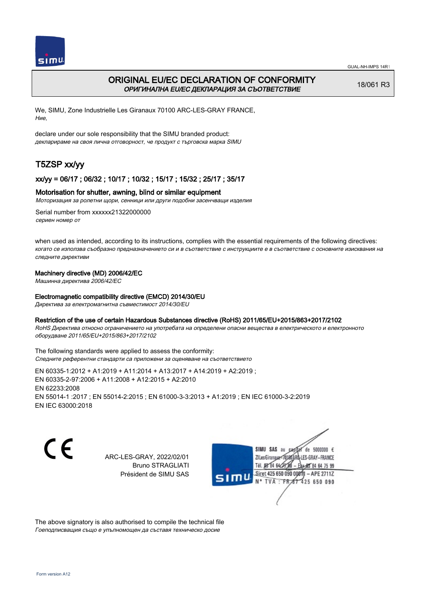

# ORIGINAL EU/EC DECLARATION OF CONFORMITY ОРИГИНАЛНА EU/EC ДЕКЛАРАЦИЯ ЗА СЪОТВЕТСТВИЕ

18/061 R3

We, SIMU, Zone Industrielle Les Giranaux 70100 ARC-LES-GRAY FRANCE, Ние,

declare under our sole responsibility that the SIMU branded product: декларираме на своя лична отговорност, че продукт с търговска марка SIMU

# T5ZSP xx/yy

## xx/yy = 06/17 ; 06/32 ; 10/17 ; 10/32 ; 15/17 ; 15/32 ; 25/17 ; 35/17

### Motorisation for shutter, awning, blind or similar equipment

Моторизация за ролетни щори, сенници или други подобни засенчващи изделия

Serial number from xxxxxx21322000000 сериен номер от

when used as intended, according to its instructions, complies with the essential requirements of the following directives: когато се използва съобразно предназначението си и в съответствие с инструкциите е в съответствие с основните изисквания на следните директиви

## Machinery directive (MD) 2006/42/EC

Машинна директива 2006/42/EC

### Electromagnetic compatibility directive (EMCD) 2014/30/EU

Директива за електромагнитна съвместимост 2014/30/EU

### Restriction of the use of certain Hazardous Substances directive (RoHS) 2011/65/EU+2015/863+2017/2102

RoHS Директива относно ограничението на употребата на определени опасни вещества в електрическото и електронното оборудване 2011/65/EU+2015/863+2017/2102

The following standards were applied to assess the conformity: Следните референтни стандарти са приложени за оценяване на съответствието

EN 60335‑1:2012 + A1:2019 + A11:2014 + A13:2017 + A14:2019 + A2:2019 ; EN 60335‑2‑97:2006 + A11:2008 + A12:2015 + A2:2010 EN 62233:2008 EN 55014‑1 :2017 ; EN 55014‑2:2015 ; EN 61000‑3‑3:2013 + A1:2019 ; EN IEC 61000‑3‑2:2019 EN IEC 63000:2018

C E

ARC-LES-GRAY, 2022/02/01 Bruno STRAGLIATI Président de SIMU SAS

SIMU SAS au  $cardiz$  de 5000000  $\epsilon$ LES-GRAY-FRANCE ZI Les Giranaux</DJ80AF Tél. 08 84 64 28 584 64 75 99 Siret 425 650 090 008TV  $-$  APE 2711Z N° TVA : FRAT 425 650 090

The above signatory is also authorised to compile the technical file Гоеподписващия също е упълномощен да съставя техническо досие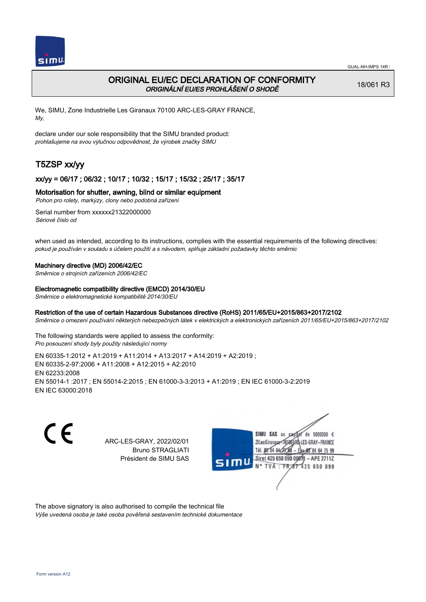

# ORIGINAL EU/EC DECLARATION OF CONFORMITY ORIGINÁLNÍ EU/ES PROHLÁŠENÍ O SHODĚ

18/061 R3

We, SIMU, Zone Industrielle Les Giranaux 70100 ARC-LES-GRAY FRANCE, My,

declare under our sole responsibility that the SIMU branded product: prohlašujeme na svou výlučnou odpovědnost, že výrobek značky SIMU

# T5ZSP xx/yy

# xx/yy = 06/17 ; 06/32 ; 10/17 ; 10/32 ; 15/17 ; 15/32 ; 25/17 ; 35/17

## Motorisation for shutter, awning, blind or similar equipment

Pohon pro rolety, markýzy, clony nebo podobná zařízení

Serial number from xxxxxx21322000000 Sériové číslo od

when used as intended, according to its instructions, complies with the essential requirements of the following directives: pokud je používán v souladu s účelem použití a s návodem, splňuje základní požadavky těchto směrnic

### Machinery directive (MD) 2006/42/EC

Směrnice o strojních zařízeních 2006/42/EC

#### Electromagnetic compatibility directive (EMCD) 2014/30/EU

Směrnice o elektromagnetické kompatibilitě 2014/30/EU

## Restriction of the use of certain Hazardous Substances directive (RoHS) 2011/65/EU+2015/863+2017/2102

Směrnice o omezení používání některých nebezpečných látek v elektrických a elektronických zařízeních 2011/65/EU+2015/863+2017/2102

The following standards were applied to assess the conformity: Pro posouzení shody byly použity následující normy

EN 60335‑1:2012 + A1:2019 + A11:2014 + A13:2017 + A14:2019 + A2:2019 ; EN 60335‑2‑97:2006 + A11:2008 + A12:2015 + A2:2010 EN 62233:2008 EN 55014‑1 :2017 ; EN 55014‑2:2015 ; EN 61000‑3‑3:2013 + A1:2019 ; EN IEC 61000‑3‑2:2019 EN IEC 63000:2018

C E

ARC-LES-GRAY, 2022/02/01 Bruno STRAGLIATI Président de SIMU SAS



The above signatory is also authorised to compile the technical file Výše uvedená osoba je také osoba pověřená sestavením technické dokumentace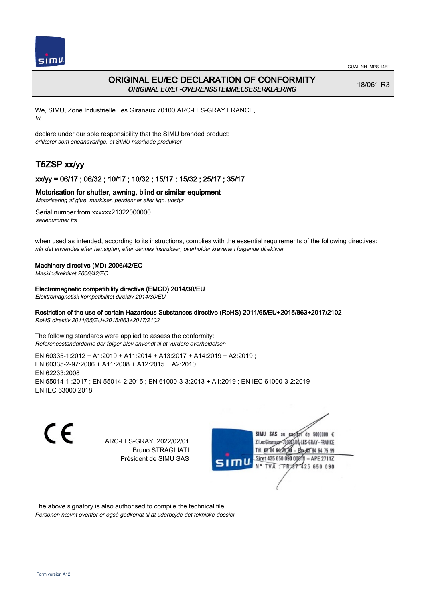

# ORIGINAL EU/EC DECLARATION OF CONFORMITY ORIGINAL EU/EF-OVERENSSTEMMELSESERKLÆRING

18/061 R3

We, SIMU, Zone Industrielle Les Giranaux 70100 ARC-LES-GRAY FRANCE, Vi,

declare under our sole responsibility that the SIMU branded product: erklærer som eneansvarlige, at SIMU mærkede produkter

# T5ZSP xx/yy

# xx/yy = 06/17 ; 06/32 ; 10/17 ; 10/32 ; 15/17 ; 15/32 ; 25/17 ; 35/17

## Motorisation for shutter, awning, blind or similar equipment

Motorisering af gitre, markiser, persienner eller lign. udstyr

Serial number from xxxxxx21322000000 serienummer fra

when used as intended, according to its instructions, complies with the essential requirements of the following directives: når det anvendes efter hensigten, efter dennes instrukser, overholder kravene i følgende direktiver

### Machinery directive (MD) 2006/42/EC

Maskindirektivet 2006/42/EC

### Electromagnetic compatibility directive (EMCD) 2014/30/EU

Elektromagnetisk kompatibilitet direktiv 2014/30/EU

## Restriction of the use of certain Hazardous Substances directive (RoHS) 2011/65/EU+2015/863+2017/2102

RoHS direktiv 2011/65/EU+2015/863+2017/2102

The following standards were applied to assess the conformity: Referencestandarderne der følger blev anvendt til at vurdere overholdelsen

EN 60335‑1:2012 + A1:2019 + A11:2014 + A13:2017 + A14:2019 + A2:2019 ; EN 60335‑2‑97:2006 + A11:2008 + A12:2015 + A2:2010 EN 62233:2008 EN 55014‑1 :2017 ; EN 55014‑2:2015 ; EN 61000‑3‑3:2013 + A1:2019 ; EN IEC 61000‑3‑2:2019 EN IEC 63000:2018

C E

ARC-LES-GRAY, 2022/02/01 Bruno STRAGLIATI Président de SIMU SAS



The above signatory is also authorised to compile the technical file Personen nævnt ovenfor er også godkendt til at udarbejde det tekniske dossier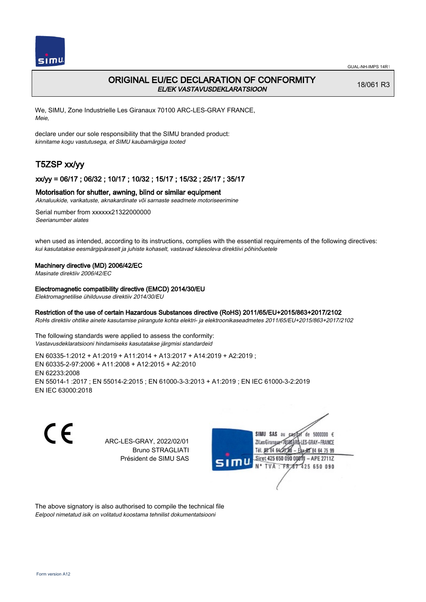

# ORIGINAL EU/EC DECLARATION OF CONFORMITY EL/EK VASTAVUSDEKLARATSIOON

18/061 R3

We, SIMU, Zone Industrielle Les Giranaux 70100 ARC-LES-GRAY FRANCE, Meie,

declare under our sole responsibility that the SIMU branded product: kinnitame kogu vastutusega, et SIMU kaubamärgiga tooted

# T5ZSP xx/yy

## xx/yy = 06/17 ; 06/32 ; 10/17 ; 10/32 ; 15/17 ; 15/32 ; 25/17 ; 35/17

### Motorisation for shutter, awning, blind or similar equipment

Aknaluukide, varikatuste, aknakardinate või sarnaste seadmete motoriseerimine

Serial number from xxxxxx21322000000 Seerianumber alates

when used as intended, according to its instructions, complies with the essential requirements of the following directives: kui kasutatakse eesmärgipäraselt ja juhiste kohaselt, vastavad käesoleva direktiivi põhinõuetele

### Machinery directive (MD) 2006/42/EC

Masinate direktiiv 2006/42/EC

#### Electromagnetic compatibility directive (EMCD) 2014/30/EU

Elektromagnetilise ühilduvuse direktiiv 2014/30/EU

## Restriction of the use of certain Hazardous Substances directive (RoHS) 2011/65/EU+2015/863+2017/2102

RoHs direktiiv ohtlike ainete kasutamise piirangute kohta elektri- ja elektroonikaseadmetes 2011/65/EU+2015/863+2017/2102

The following standards were applied to assess the conformity: Vastavusdeklaratsiooni hindamiseks kasutatakse järgmisi standardeid

EN 60335‑1:2012 + A1:2019 + A11:2014 + A13:2017 + A14:2019 + A2:2019 ; EN 60335‑2‑97:2006 + A11:2008 + A12:2015 + A2:2010 EN 62233:2008 EN 55014‑1 :2017 ; EN 55014‑2:2015 ; EN 61000‑3‑3:2013 + A1:2019 ; EN IEC 61000‑3‑2:2019 EN IEC 63000:2018

C E

ARC-LES-GRAY, 2022/02/01 Bruno STRAGLIATI Président de SIMU SAS



The above signatory is also authorised to compile the technical file Eelpool nimetatud isik on volitatud koostama tehnilist dokumentatsiooni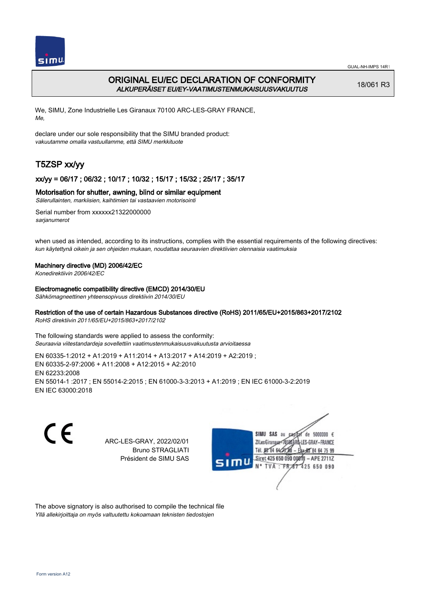

# ORIGINAL EU/EC DECLARATION OF CONFORMITY ALKUPERÄISET EU/EY-VAATIMUSTENMUKAISUUSVAKUUTUS

18/061 R3

We, SIMU, Zone Industrielle Les Giranaux 70100 ARC-LES-GRAY FRANCE, Me,

declare under our sole responsibility that the SIMU branded product: vakuutamme omalla vastuullamme, että SIMU merkkituote

# T5ZSP xx/yy

# xx/yy = 06/17 ; 06/32 ; 10/17 ; 10/32 ; 15/17 ; 15/32 ; 25/17 ; 35/17

## Motorisation for shutter, awning, blind or similar equipment

Sälerullainten, markiisien, kaihtimien tai vastaavien motorisointi

Serial number from xxxxxx21322000000 sarianumerot

when used as intended, according to its instructions, complies with the essential requirements of the following directives: kun käytettynä oikein ja sen ohjeiden mukaan, noudattaa seuraavien direktiivien olennaisia vaatimuksia

### Machinery directive (MD) 2006/42/EC

Konedirektiivin 2006/42/EC

#### Electromagnetic compatibility directive (EMCD) 2014/30/EU

Sähkömagneettinen yhteensopivuus direktiivin 2014/30/EU

# Restriction of the use of certain Hazardous Substances directive (RoHS) 2011/65/EU+2015/863+2017/2102

RoHS direktiivin 2011/65/EU+2015/863+2017/2102

The following standards were applied to assess the conformity: Seuraavia viitestandardeja sovellettiin vaatimustenmukaisuusvakuutusta arvioitaessa

EN 60335‑1:2012 + A1:2019 + A11:2014 + A13:2017 + A14:2019 + A2:2019 ; EN 60335‑2‑97:2006 + A11:2008 + A12:2015 + A2:2010 EN 62233:2008 EN 55014‑1 :2017 ; EN 55014‑2:2015 ; EN 61000‑3‑3:2013 + A1:2019 ; EN IEC 61000‑3‑2:2019 EN IEC 63000:2018

C E

ARC-LES-GRAY, 2022/02/01 Bruno STRAGLIATI Président de SIMU SAS



The above signatory is also authorised to compile the technical file Yllä allekirjoittaja on myös valtuutettu kokoamaan teknisten tiedostojen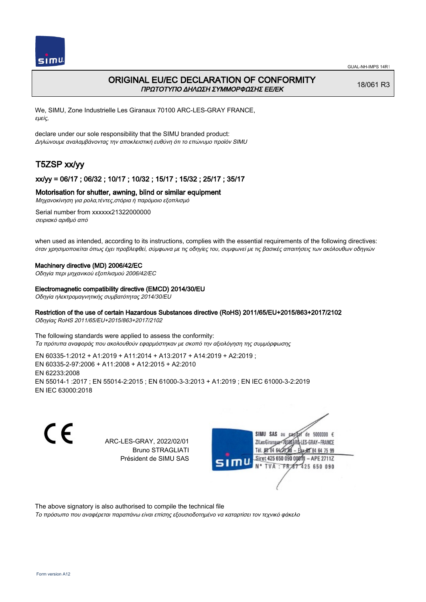

# ORIGINAL EU/EC DECLARATION OF CONFORMITY ΠΡΩΤΟΤΥΠΟ ΔΗΛΩΣΗ ΣΥΜΜΟΡΦΩΣΗΣ ΕΕ/EK

18/061 R3

We, SIMU, Zone Industrielle Les Giranaux 70100 ARC-LES-GRAY FRANCE, εμείς,

declare under our sole responsibility that the SIMU branded product: Δηλώνουμε αναλαμβάνοντας την αποκλειστική ευθύνη ότι το επώνυμο προϊόν SIMU

# T5ZSP xx/yy

## xx/yy = 06/17 ; 06/32 ; 10/17 ; 10/32 ; 15/17 ; 15/32 ; 25/17 ; 35/17

## Motorisation for shutter, awning, blind or similar equipment

Μηχανοκίνηση για ρολα,τέντες,στόρια ή παρόμοιο εξοπλισμό

Serial number from xxxxxx21322000000 σειριακό αριθμό από

when used as intended, according to its instructions, complies with the essential requirements of the following directives: όταν χρησιμοποιείται όπως έχει προβλεφθεί, σύμφωνα με τις οδηγίες του, συμφωνεί με τις βασικές απαιτήσεις των ακόλουθων οδηγιών

#### Machinery directive (MD) 2006/42/EC

Οδηγία περι μηχανικού εξοπλισμού 2006/42/EC

#### Electromagnetic compatibility directive (EMCD) 2014/30/EU

Οδηγία ηλεκτρομαγνητικής συμβατότητας 2014/30/EU

## Restriction of the use of certain Hazardous Substances directive (RoHS) 2011/65/EU+2015/863+2017/2102

Οδηγίας RoHS 2011/65/EU+2015/863+2017/2102

The following standards were applied to assess the conformity: Τα πρότυπα αναφοράς που ακολουθούν εφαρμόστηκαν με σκοπό την αξιολόγηση της συμμόρφωσης

EN 60335‑1:2012 + A1:2019 + A11:2014 + A13:2017 + A14:2019 + A2:2019 ; EN 60335‑2‑97:2006 + A11:2008 + A12:2015 + A2:2010 EN 62233:2008 EN 55014‑1 :2017 ; EN 55014‑2:2015 ; EN 61000‑3‑3:2013 + A1:2019 ; EN IEC 61000‑3‑2:2019 EN IEC 63000:2018

C E

ARC-LES-GRAY, 2022/02/01 Bruno STRAGLIATI Président de SIMU SAS



The above signatory is also authorised to compile the technical file

Το πρόσωπο που αναφέρεται παραπάνω είναι επίσης εξουσιοδοτημένο να καταρτίσει τον τεχνικό φάκελο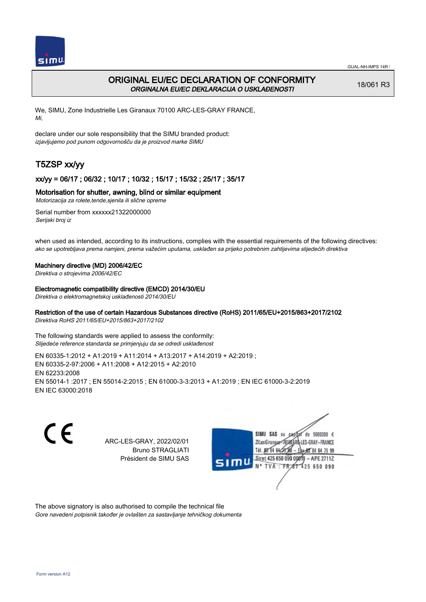

# ORIGINAL EU/EC DECLARATION OF CONFORMITY ORGINALNA EU/EC DEKLARACIJA O USKLAĐENOSTI

18/061 R3

We, SIMU, Zone Industrielle Les Giranaux 70100 ARC-LES-GRAY FRANCE, Mi,

declare under our sole responsibility that the SIMU branded product: izjavljujemo pod punom odgovornošču da je proizvod marke SIMU

# T5ZSP xx/yy

# xx/yy = 06/17 ; 06/32 ; 10/17 ; 10/32 ; 15/17 ; 15/32 ; 25/17 ; 35/17

## Motorisation for shutter, awning, blind or similar equipment

Motorizacija za rolete,tende,sjenila ili slične opreme

Serial number from xxxxxx21322000000 Serijski broj iz

when used as intended, according to its instructions, complies with the essential requirements of the following directives: ako se upotrebljava prema namjeni, prema važećim uputama, usklađen sa prijeko potrebnim zahtijevima slijedećih direktiva

#### Machinery directive (MD) 2006/42/EC

Direktiva o strojevima 2006/42/EC

#### Electromagnetic compatibility directive (EMCD) 2014/30/EU

Direktiva o elektromagnetskoj usklađenosti 2014/30/EU

# Restriction of the use of certain Hazardous Substances directive (RoHS) 2011/65/EU+2015/863+2017/2102

Direktiva RoHS 2011/65/EU+2015/863+2017/2102

The following standards were applied to assess the conformity: Slijedeće reference standarda se primjenjuju da se odredi usklađenost

EN 60335‑1:2012 + A1:2019 + A11:2014 + A13:2017 + A14:2019 + A2:2019 ; EN 60335‑2‑97:2006 + A11:2008 + A12:2015 + A2:2010 EN 62233:2008 EN 55014‑1 :2017 ; EN 55014‑2:2015 ; EN 61000‑3‑3:2013 + A1:2019 ; EN IEC 61000‑3‑2:2019 EN IEC 63000:2018

C E

ARC-LES-GRAY, 2022/02/01 Bruno STRAGLIATI Président de SIMU SAS



The above signatory is also authorised to compile the technical file Gore navedeni potpisnik također je ovlašten za sastavljanje tehničkog dokumenta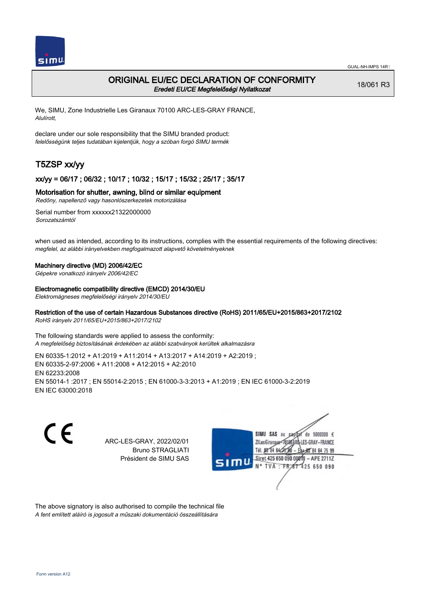

# ORIGINAL EU/EC DECLARATION OF CONFORMITY Eredeti EU/CE Megfelelőségi Nyilatkozat

18/061 R3

We, SIMU, Zone Industrielle Les Giranaux 70100 ARC-LES-GRAY FRANCE, Alulírott,

declare under our sole responsibility that the SIMU branded product: felelősségünk teljes tudatában kijelentjük, hogy a szóban forgó SIMU termék

# T5ZSP xx/yy

## xx/yy = 06/17 ; 06/32 ; 10/17 ; 10/32 ; 15/17 ; 15/32 ; 25/17 ; 35/17

### Motorisation for shutter, awning, blind or similar equipment

Redőny, napellenző vagy hasonlószerkezetek motorizálása

Serial number from xxxxxx21322000000 Sorozatszámtól

when used as intended, according to its instructions, complies with the essential requirements of the following directives: megfelel, az alábbi irányelvekben megfogalmazott alapvető követelményeknek

### Machinery directive (MD) 2006/42/EC

Gépekre vonatkozó irányelv 2006/42/EC

#### Electromagnetic compatibility directive (EMCD) 2014/30/EU

Elektromágneses megfelelőségi irányelv 2014/30/EU

## Restriction of the use of certain Hazardous Substances directive (RoHS) 2011/65/EU+2015/863+2017/2102

RoHS irányelv 2011/65/EU+2015/863+2017/2102

The following standards were applied to assess the conformity: A megfelelőség biztosításának érdekében az alábbi szabványok kerültek alkalmazásra

EN 60335‑1:2012 + A1:2019 + A11:2014 + A13:2017 + A14:2019 + A2:2019 ; EN 60335‑2‑97:2006 + A11:2008 + A12:2015 + A2:2010 EN 62233:2008 EN 55014‑1 :2017 ; EN 55014‑2:2015 ; EN 61000‑3‑3:2013 + A1:2019 ; EN IEC 61000‑3‑2:2019 EN IEC 63000:2018

C E

ARC-LES-GRAY, 2022/02/01 Bruno STRAGLIATI Président de SIMU SAS



The above signatory is also authorised to compile the technical file A fent említett aláíró is jogosult a műszaki dokumentáció összeállítására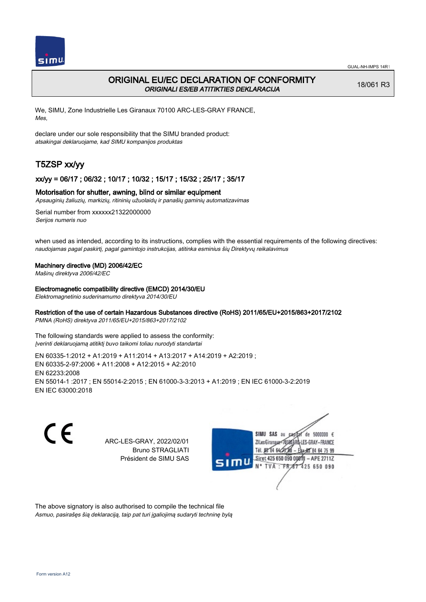

# ORIGINAL EU/EC DECLARATION OF CONFORMITY ORIGINALI ES/EB ATITIKTIES DEKLARACIJA

18/061 R3

We, SIMU, Zone Industrielle Les Giranaux 70100 ARC-LES-GRAY FRANCE, Mes,

declare under our sole responsibility that the SIMU branded product: atsakingai deklaruojame, kad SIMU kompanijos produktas

# T5ZSP xx/yy

## xx/yy = 06/17 ; 06/32 ; 10/17 ; 10/32 ; 15/17 ; 15/32 ; 25/17 ; 35/17

## Motorisation for shutter, awning, blind or similar equipment

Apsauginių žaliuzių, markizių, ritininių užuolaidų ir panašių gaminių automatizavimas

Serial number from xxxxxx21322000000 Serijos numeris nuo

when used as intended, according to its instructions, complies with the essential requirements of the following directives: naudojamas pagal paskirtį, pagal gamintojo instrukcijas, atitinka esminius šių Direktyvų reikalavimus

### Machinery directive (MD) 2006/42/EC

Mašinų direktyva 2006/42/EC

Electromagnetic compatibility directive (EMCD) 2014/30/EU

Elektromagnetinio suderinamumo direktyva 2014/30/EU

# Restriction of the use of certain Hazardous Substances directive (RoHS) 2011/65/EU+2015/863+2017/2102

PMNA (RoHS) direktyva 2011/65/EU+2015/863+2017/2102

The following standards were applied to assess the conformity: Įverinti deklaruojamą atitiktį buvo taikomi toliau nurodyti standartai

EN 60335‑1:2012 + A1:2019 + A11:2014 + A13:2017 + A14:2019 + A2:2019 ; EN 60335‑2‑97:2006 + A11:2008 + A12:2015 + A2:2010 EN 62233:2008 EN 55014‑1 :2017 ; EN 55014‑2:2015 ; EN 61000‑3‑3:2013 + A1:2019 ; EN IEC 61000‑3‑2:2019 EN IEC 63000:2018

C E

ARC-LES-GRAY, 2022/02/01 Bruno STRAGLIATI Président de SIMU SAS



The above signatory is also authorised to compile the technical file Asmuo, pasirašęs šią deklaraciją, taip pat turi įgaliojimą sudaryti techninę bylą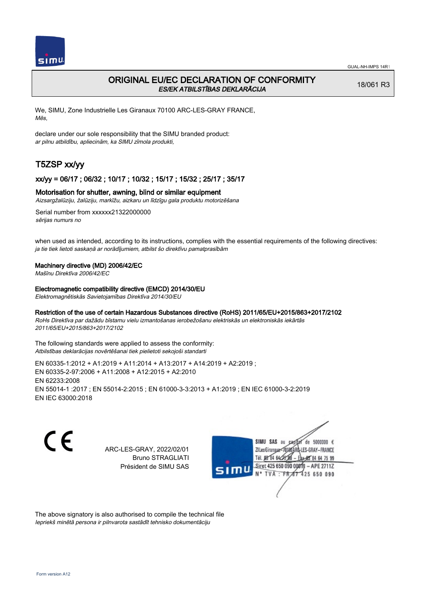

# ORIGINAL EU/EC DECLARATION OF CONFORMITY ES/EK ATBILSTĪBAS DEKLARĀCIJA

18/061 R3

We, SIMU, Zone Industrielle Les Giranaux 70100 ARC-LES-GRAY FRANCE, Mēs,

declare under our sole responsibility that the SIMU branded product: ar pilnu atbildību, apliecinām, ka SIMU zīmola produkti,

# T5ZSP xx/yy

## xx/yy = 06/17 ; 06/32 ; 10/17 ; 10/32 ; 15/17 ; 15/32 ; 25/17 ; 35/17

### Motorisation for shutter, awning, blind or similar equipment

Aizsargžalūziju, žalūziju, markīžu, aizkaru un līdzīgu gala produktu motorizēšana

Serial number from xxxxxx21322000000 sērijas numurs no

when used as intended, according to its instructions, complies with the essential requirements of the following directives: ja tie tiek lietoti saskaņā ar norādījumiem, atbilst šo direktīvu pamatprasībām

#### Machinery directive (MD) 2006/42/EC

Mašīnu Direktīva 2006/42/EC

Electromagnetic compatibility directive (EMCD) 2014/30/EU

Elektromagnētiskās Savietojamības Direktīva 2014/30/EU

### Restriction of the use of certain Hazardous Substances directive (RoHS) 2011/65/EU+2015/863+2017/2102

RoHs Direktīva par dažādu bīstamu vielu izmantošanas ierobežošanu elektriskās un elektroniskās iekārtās 2011/65/EU+2015/863+2017/2102

The following standards were applied to assess the conformity: Atbilstības deklarācijas novērtēšanai tiek pielietoti sekojoši standarti

EN 60335‑1:2012 + A1:2019 + A11:2014 + A13:2017 + A14:2019 + A2:2019 ; EN 60335‑2‑97:2006 + A11:2008 + A12:2015 + A2:2010 EN 62233:2008 EN 55014‑1 :2017 ; EN 55014‑2:2015 ; EN 61000‑3‑3:2013 + A1:2019 ; EN IEC 61000‑3‑2:2019 EN IEC 63000:2018

CE

ARC-LES-GRAY, 2022/02/01 Bruno STRAGLIATI Président de SIMU SAS



The above signatory is also authorised to compile the technical file Iepriekš minētā persona ir pilnvarota sastādīt tehnisko dokumentāciju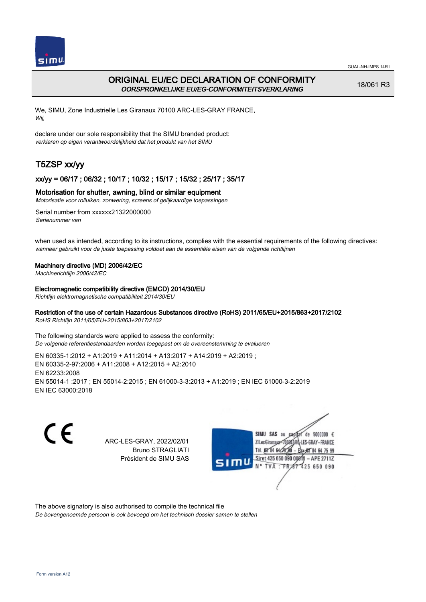

# ORIGINAL EU/EC DECLARATION OF CONFORMITY OORSPRONKELIJKE EU/EG-CONFORMITEITSVERKLARING

18/061 R3

We, SIMU, Zone Industrielle Les Giranaux 70100 ARC-LES-GRAY FRANCE, Wij,

declare under our sole responsibility that the SIMU branded product: verklaren op eigen verantwoordelijkheid dat het produkt van het SIMU

# T5ZSP xx/yy

# xx/yy = 06/17 ; 06/32 ; 10/17 ; 10/32 ; 15/17 ; 15/32 ; 25/17 ; 35/17

## Motorisation for shutter, awning, blind or similar equipment

Motorisatie voor rolluiken, zonwering, screens of gelijkaardige toepassingen

Serial number from xxxxxx21322000000 Serienummer van

when used as intended, according to its instructions, complies with the essential requirements of the following directives: wanneer gebruikt voor de juiste toepassing voldoet aan de essentiële eisen van de volgende richtlijnen

## Machinery directive (MD) 2006/42/EC

Machinerichtlijn 2006/42/EC

Electromagnetic compatibility directive (EMCD) 2014/30/EU

Richtlijn elektromagnetische compatibiliteit 2014/30/EU

## Restriction of the use of certain Hazardous Substances directive (RoHS) 2011/65/EU+2015/863+2017/2102

RoHS Richtlijn 2011/65/EU+2015/863+2017/2102

The following standards were applied to assess the conformity: De volgende referentiestandaarden worden toegepast om de overeenstemming te evalueren

EN 60335‑1:2012 + A1:2019 + A11:2014 + A13:2017 + A14:2019 + A2:2019 ; EN 60335‑2‑97:2006 + A11:2008 + A12:2015 + A2:2010 EN 62233:2008 EN 55014‑1 :2017 ; EN 55014‑2:2015 ; EN 61000‑3‑3:2013 + A1:2019 ; EN IEC 61000‑3‑2:2019 EN IEC 63000:2018

C E

ARC-LES-GRAY, 2022/02/01 Bruno STRAGLIATI Président de SIMU SAS



The above signatory is also authorised to compile the technical file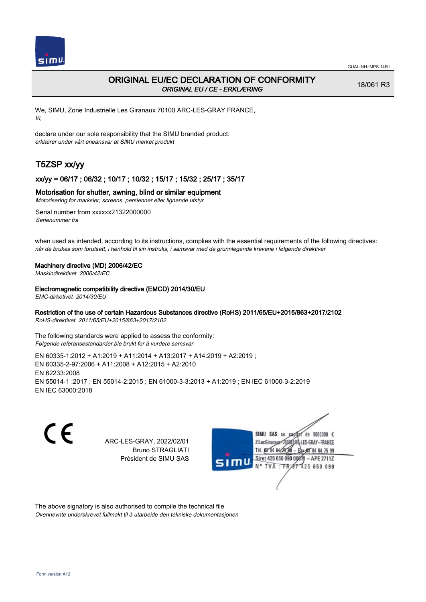

18/061 R3

# ORIGINAL EU/EC DECLARATION OF CONFORMITY ORIGINAL EU / CE - ERKLÆRING

We, SIMU, Zone Industrielle Les Giranaux 70100 ARC-LES-GRAY FRANCE, Vi,

declare under our sole responsibility that the SIMU branded product: erklærer under vårt eneansvar at SIMU merket produkt

# T5ZSP xx/yy

# xx/yy = 06/17 ; 06/32 ; 10/17 ; 10/32 ; 15/17 ; 15/32 ; 25/17 ; 35/17

## Motorisation for shutter, awning, blind or similar equipment

Motorisering for marksier, screens, persienner eller lignende utstyr

Serial number from xxxxxx21322000000 Serienummer fra

when used as intended, according to its instructions, complies with the essential requirements of the following directives: når de brukes som forutsatt, i henhold til sin instruks, i samsvar med de grunnlegende kravene i følgende direktiver

### Machinery directive (MD) 2006/42/EC

Maskindirektivet 2006/42/EC

### Electromagnetic compatibility directive (EMCD) 2014/30/EU

EMC-dirketivet 2014/30/EU

# Restriction of the use of certain Hazardous Substances directive (RoHS) 2011/65/EU+2015/863+2017/2102

RoHS-direktivet 2011/65/EU+2015/863+2017/2102

The following standards were applied to assess the conformity: Følgende referansestandarder ble brukt for å vurdere samsvar

EN 60335‑1:2012 + A1:2019 + A11:2014 + A13:2017 + A14:2019 + A2:2019 ; EN 60335‑2‑97:2006 + A11:2008 + A12:2015 + A2:2010 EN 62233:2008 EN 55014‑1 :2017 ; EN 55014‑2:2015 ; EN 61000‑3‑3:2013 + A1:2019 ; EN IEC 61000‑3‑2:2019 EN IEC 63000:2018

C E

ARC-LES-GRAY, 2022/02/01 Bruno STRAGLIATI Président de SIMU SAS



The above signatory is also authorised to compile the technical file Ovennevnte underskrevet fullmakt til å utarbeide den tekniske dokumentasjonen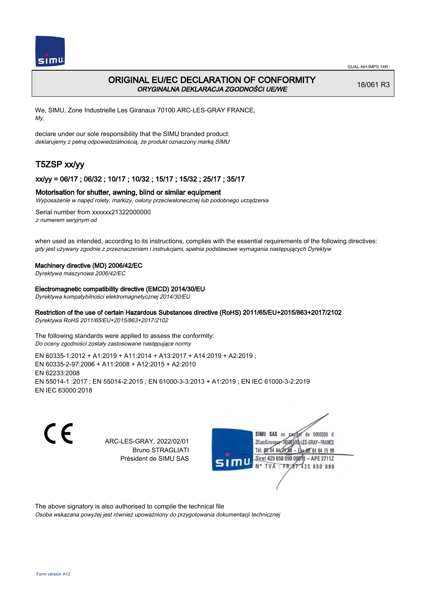

# ORIGINAL EU/EC DECLARATION OF CONFORMITY ORYGINALNA DEKLARACJA ZGODNOŚCI UE/WE

18/061 R3

We, SIMU, Zone Industrielle Les Giranaux 70100 ARC-LES-GRAY FRANCE, My,

declare under our sole responsibility that the SIMU branded product: deklarujemy z pełną odpowiedzialnością, że produkt oznaczony marką SIMU

# T5ZSP xx/yy

## xx/yy = 06/17 ; 06/32 ; 10/17 ; 10/32 ; 15/17 ; 15/32 ; 25/17 ; 35/17

### Motorisation for shutter, awning, blind or similar equipment

Wyposażenie w napęd rolety, markizy, osłony przeciwsłonecznej lub podobnego urządzenia

Serial number from xxxxxx21322000000 z numerem seryjnym od

when used as intended, according to its instructions, complies with the essential requirements of the following directives: gdy jest używany zgodnie z przeznaczeniem i instrukcjami, spełnia podstawowe wymagania następujących Dyrektyw

#### Machinery directive (MD) 2006/42/EC

Dyrektywa maszynowa 2006/42/EC

#### Electromagnetic compatibility directive (EMCD) 2014/30/EU

Dyrektywa kompatybilności elektromagnetycznej 2014/30/EU

### Restriction of the use of certain Hazardous Substances directive (RoHS) 2011/65/EU+2015/863+2017/2102

Dyrektywa RoHS 2011/65/EU+2015/863+2017/2102

The following standards were applied to assess the conformity: Do oceny zgodności zostały zastosowane następujące normy

EN 60335‑1:2012 + A1:2019 + A11:2014 + A13:2017 + A14:2019 + A2:2019 ; EN 60335‑2‑97:2006 + A11:2008 + A12:2015 + A2:2010 EN 62233:2008 EN 55014‑1 :2017 ; EN 55014‑2:2015 ; EN 61000‑3‑3:2013 + A1:2019 ; EN IEC 61000‑3‑2:2019 EN IEC 63000:2018

C E

ARC-LES-GRAY, 2022/02/01 Bruno STRAGLIATI Président de SIMU SAS



The above signatory is also authorised to compile the technical file

Osoba wskazana powyżej jest również upoważniony do przygotowania dokumentacji technicznej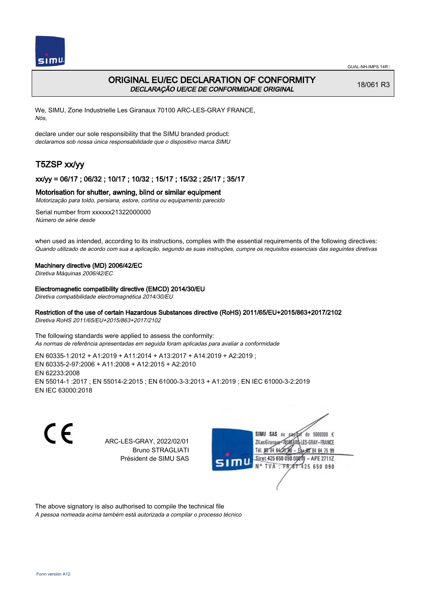

# ORIGINAL EU/EC DECLARATION OF CONFORMITY DECLARAÇÃO UE/CE DE CONFORMIDADE ORIGINAL

18/061 R3

We, SIMU, Zone Industrielle Les Giranaux 70100 ARC-LES-GRAY FRANCE, Nós,

declare under our sole responsibility that the SIMU branded product: declaramos sob nossa única responsabilidade que o dispositivo marca SIMU

# T5ZSP xx/yy

# xx/yy = 06/17 ; 06/32 ; 10/17 ; 10/32 ; 15/17 ; 15/32 ; 25/17 ; 35/17

## Motorisation for shutter, awning, blind or similar equipment

Motorização para toldo, persiana, estore, cortina ou equipamento parecido

Serial number from xxxxxx21322000000 Número de série desde

when used as intended, according to its instructions, complies with the essential requirements of the following directives: Quando utilizado de acordo com sua a aplicação, segundo as suas instruções, cumpre os requisitos essenciais das seguintes diretivas

## Machinery directive (MD) 2006/42/EC

Diretiva Máquinas 2006/42/EC

Electromagnetic compatibility directive (EMCD) 2014/30/EU

Diretiva compatibilidade electromagnética 2014/30/EU

## Restriction of the use of certain Hazardous Substances directive (RoHS) 2011/65/EU+2015/863+2017/2102

Diretiva RoHS 2011/65/EU+2015/863+2017/2102

The following standards were applied to assess the conformity: As normas de referência apresentadas em seguida foram aplicadas para avaliar a conformidade

EN 60335‑1:2012 + A1:2019 + A11:2014 + A13:2017 + A14:2019 + A2:2019 ; EN 60335‑2‑97:2006 + A11:2008 + A12:2015 + A2:2010 EN 62233:2008 EN 55014‑1 :2017 ; EN 55014‑2:2015 ; EN 61000‑3‑3:2013 + A1:2019 ; EN IEC 61000‑3‑2:2019 EN IEC 63000:2018

C E

ARC-LES-GRAY, 2022/02/01 Bruno STRAGLIATI Président de SIMU SAS



The above signatory is also authorised to compile the technical file

A pessoa nomeada acima também está autorizada a compilar o processo técnico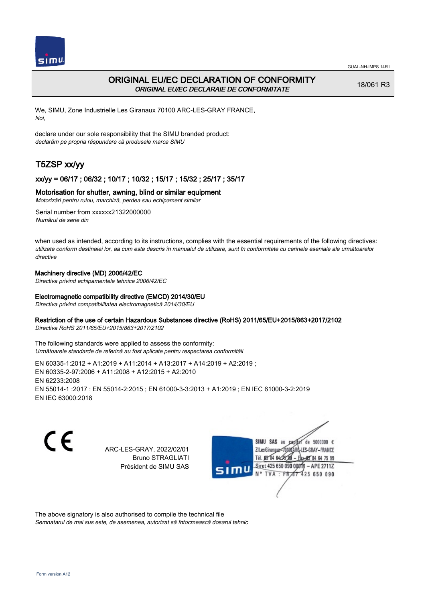

# ORIGINAL EU/EC DECLARATION OF CONFORMITY ORIGINAL EU/EC DECLARAIE DE CONFORMITATE

18/061 R3

We, SIMU, Zone Industrielle Les Giranaux 70100 ARC-LES-GRAY FRANCE, Noi,

declare under our sole responsibility that the SIMU branded product: declarăm pe propria răspundere că produsele marca SIMU

# T5ZSP xx/yy

# xx/yy = 06/17 ; 06/32 ; 10/17 ; 10/32 ; 15/17 ; 15/32 ; 25/17 ; 35/17

## Motorisation for shutter, awning, blind or similar equipment

Motorizări pentru rulou, marchiză, perdea sau echipament similar

Serial number from xxxxxx21322000000 Numărul de serie din

when used as intended, according to its instructions, complies with the essential requirements of the following directives: utilizate conform destinaiei lor, aa cum este descris în manualul de utilizare, sunt în conformitate cu cerinele eseniale ale următoarelor directive

## Machinery directive (MD) 2006/42/EC

Directiva privind echipamentele tehnice 2006/42/EC

### Electromagnetic compatibility directive (EMCD) 2014/30/EU

Directiva privind compatibilitatea electromagnetică 2014/30/EU

## Restriction of the use of certain Hazardous Substances directive (RoHS) 2011/65/EU+2015/863+2017/2102

Directiva RoHS 2011/65/EU+2015/863+2017/2102

The following standards were applied to assess the conformity: Următoarele standarde de referină au fost aplicate pentru respectarea conformităii

EN 60335‑1:2012 + A1:2019 + A11:2014 + A13:2017 + A14:2019 + A2:2019 ; EN 60335‑2‑97:2006 + A11:2008 + A12:2015 + A2:2010 EN 62233:2008 EN 55014‑1 :2017 ; EN 55014‑2:2015 ; EN 61000‑3‑3:2013 + A1:2019 ; EN IEC 61000‑3‑2:2019 EN IEC 63000:2018

CE

ARC-LES-GRAY, 2022/02/01 Bruno STRAGLIATI Président de SIMU SAS



The above signatory is also authorised to compile the technical file

Semnatarul de mai sus este, de asemenea, autorizat să întocmească dosarul tehnic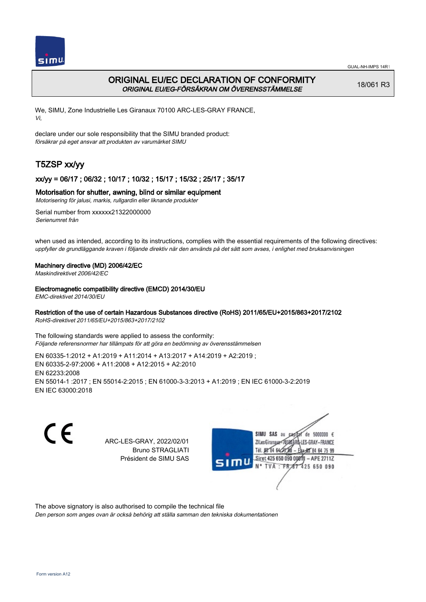

# ORIGINAL EU/EC DECLARATION OF CONFORMITY ORIGINAL EU/EG-FÖRSÄKRAN OM ÖVERENSSTÄMMELSE

18/061 R3

We, SIMU, Zone Industrielle Les Giranaux 70100 ARC-LES-GRAY FRANCE, Vi,

declare under our sole responsibility that the SIMU branded product: försäkrar på eget ansvar att produkten av varumärket SIMU

# T5ZSP xx/yy

# xx/yy = 06/17 ; 06/32 ; 10/17 ; 10/32 ; 15/17 ; 15/32 ; 25/17 ; 35/17

## Motorisation for shutter, awning, blind or similar equipment

Motorisering för jalusi, markis, rullgardin eller liknande produkter

Serial number from xxxxxx21322000000 Serienumret från

when used as intended, according to its instructions, complies with the essential requirements of the following directives: uppfyller de grundläggande kraven i följande direktiv när den används på det sätt som avses, i enlighet med bruksanvisningen

### Machinery directive (MD) 2006/42/EC

Maskindirektivet 2006/42/EC

### Electromagnetic compatibility directive (EMCD) 2014/30/EU

EMC-direktivet 2014/30/EU

## Restriction of the use of certain Hazardous Substances directive (RoHS) 2011/65/EU+2015/863+2017/2102

RoHS-direktivet 2011/65/EU+2015/863+2017/2102

The following standards were applied to assess the conformity: Följande referensnormer har tillämpats för att göra en bedömning av överensstämmelsen

EN 60335‑1:2012 + A1:2019 + A11:2014 + A13:2017 + A14:2019 + A2:2019 ; EN 60335‑2‑97:2006 + A11:2008 + A12:2015 + A2:2010 EN 62233:2008 EN 55014‑1 :2017 ; EN 55014‑2:2015 ; EN 61000‑3‑3:2013 + A1:2019 ; EN IEC 61000‑3‑2:2019 EN IEC 63000:2018

C E

ARC-LES-GRAY, 2022/02/01 Bruno STRAGLIATI Président de SIMU SAS



The above signatory is also authorised to compile the technical file

Den person som anges ovan är också behörig att ställa samman den tekniska dokumentationen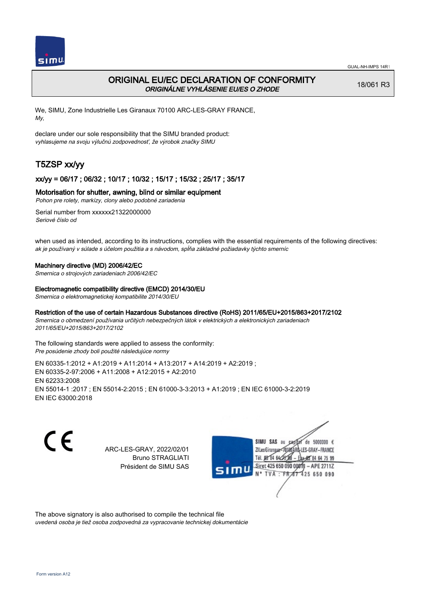

# ORIGINAL EU/EC DECLARATION OF CONFORMITY ORIGINÁLNE VYHLÁSENIE EU/ES O ZHODE

18/061 R3

We, SIMU, Zone Industrielle Les Giranaux 70100 ARC-LES-GRAY FRANCE, My,

declare under our sole responsibility that the SIMU branded product: vyhlasujeme na svoju výlučnú zodpovednosť, že výrobok značky SIMU

# T5ZSP xx/yy

# xx/yy = 06/17 ; 06/32 ; 10/17 ; 10/32 ; 15/17 ; 15/32 ; 25/17 ; 35/17

## Motorisation for shutter, awning, blind or similar equipment

Pohon pre rolety, markízy, clony alebo podobné zariadenia

Serial number from xxxxxx21322000000 Seriové číslo od

when used as intended, according to its instructions, complies with the essential requirements of the following directives: ak je používaný v súlade s účelom použitia a s návodom, spĺňa základné požiadavky týchto smerníc

### Machinery directive (MD) 2006/42/EC

Smernica o strojových zariadeniach 2006/42/EC

#### Electromagnetic compatibility directive (EMCD) 2014/30/EU

Smernica o elektromagnetickej kompatibilite 2014/30/EU

## Restriction of the use of certain Hazardous Substances directive (RoHS) 2011/65/EU+2015/863+2017/2102

Smernica o obmedzení používania určitých nebezpečných látok v elektrických a elektronických zariadeniach 2011/65/EU+2015/863+2017/2102

The following standards were applied to assess the conformity: Pre posúdenie zhody boli použité následujúce normy

EN 60335‑1:2012 + A1:2019 + A11:2014 + A13:2017 + A14:2019 + A2:2019 ; EN 60335‑2‑97:2006 + A11:2008 + A12:2015 + A2:2010 EN 62233:2008 EN 55014‑1 :2017 ; EN 55014‑2:2015 ; EN 61000‑3‑3:2013 + A1:2019 ; EN IEC 61000‑3‑2:2019 EN IEC 63000:2018

CE

ARC-LES-GRAY, 2022/02/01 Bruno STRAGLIATI Président de SIMU SAS



The above signatory is also authorised to compile the technical file

uvedená osoba je tiež osoba zodpovedná za vypracovanie technickej dokumentácie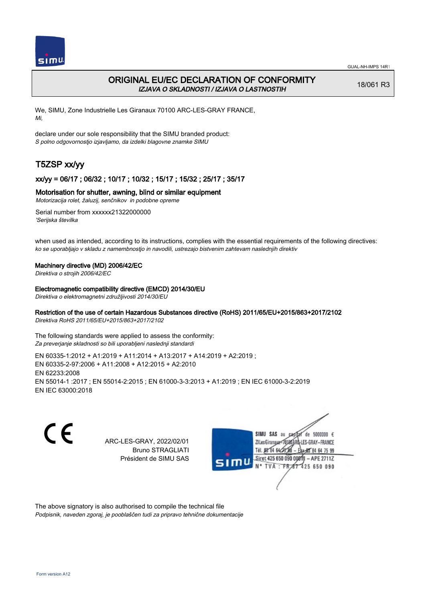

# ORIGINAL EU/EC DECLARATION OF CONFORMITY IZJAVA O SKLADNOSTI / IZJAVA O LASTNOSTIH

18/061 R3

We, SIMU, Zone Industrielle Les Giranaux 70100 ARC-LES-GRAY FRANCE, Mi,

declare under our sole responsibility that the SIMU branded product: S polno odgovornostjo izjavljamo, da izdelki blagovne znamke SIMU

# T5ZSP xx/yy

# xx/yy = 06/17 ; 06/32 ; 10/17 ; 10/32 ; 15/17 ; 15/32 ; 25/17 ; 35/17

## Motorisation for shutter, awning, blind or similar equipment

Motorizacija rolet, žaluzij, senčnikov in podobne opreme

Serial number from xxxxxx21322000000 'Serijska številka

when used as intended, according to its instructions, complies with the essential requirements of the following directives: ko se uporabljajo v skladu z namembnostjo in navodili, ustrezajo bistvenim zahtevam naslednjih direktiv

### Machinery directive (MD) 2006/42/EC

Direktiva o strojih 2006/42/EC

#### Electromagnetic compatibility directive (EMCD) 2014/30/EU

Direktiva o elektromagnetni združljivosti 2014/30/EU

# Restriction of the use of certain Hazardous Substances directive (RoHS) 2011/65/EU+2015/863+2017/2102

Direktiva RoHS 2011/65/EU+2015/863+2017/2102

The following standards were applied to assess the conformity: Za preverjanje skladnosti so bili uporabljeni naslednji standardi

EN 60335‑1:2012 + A1:2019 + A11:2014 + A13:2017 + A14:2019 + A2:2019 ; EN 60335‑2‑97:2006 + A11:2008 + A12:2015 + A2:2010 EN 62233:2008 EN 55014‑1 :2017 ; EN 55014‑2:2015 ; EN 61000‑3‑3:2013 + A1:2019 ; EN IEC 61000‑3‑2:2019 EN IEC 63000:2018

C E

ARC-LES-GRAY, 2022/02/01 Bruno STRAGLIATI Président de SIMU SAS



The above signatory is also authorised to compile the technical file Podpisnik, naveden zgoraj, je pooblaščen tudi za pripravo tehnične dokumentacije